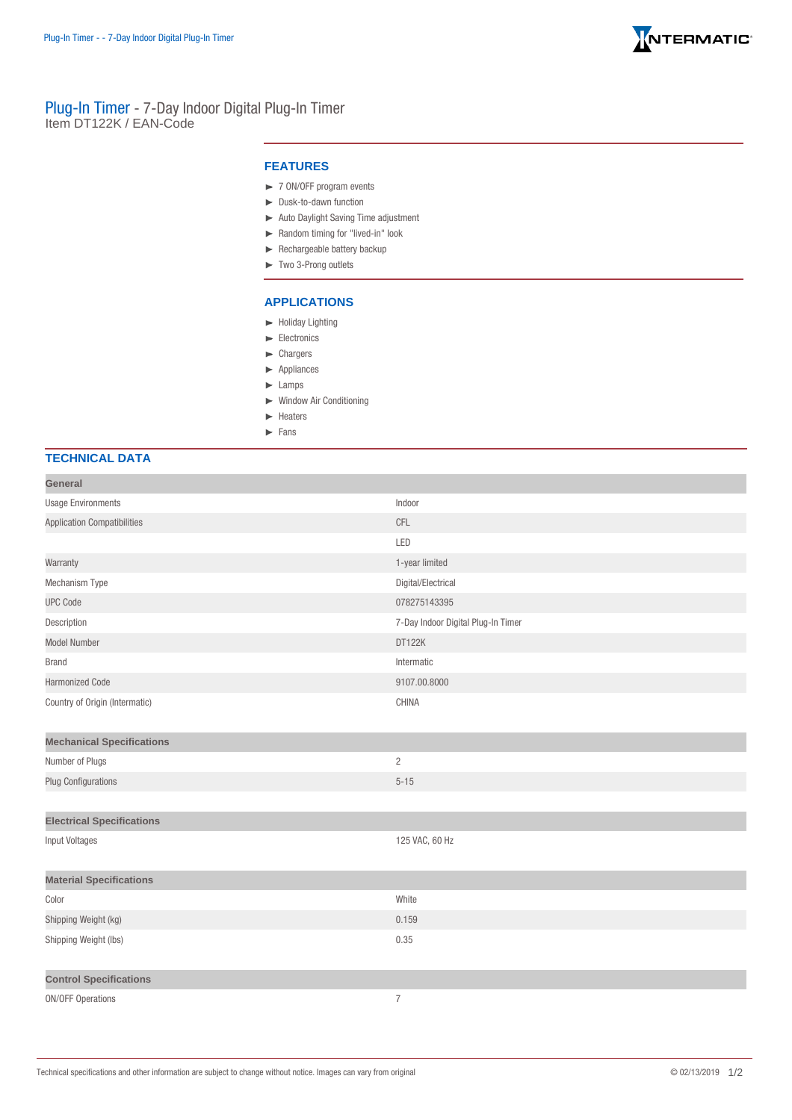

## Plug-In Timer - 7-Day Indoor Digital Plug-In Timer Item DT122K / EAN-Code

## **FEATURES**

- ► 7 ON/OFF program events
- Dusk-to-dawn function
- Auto Daylight Saving Time adjustment
- Random timing for "lived-in" look
- $\blacktriangleright$  Rechargeable battery backup
- Two 3-Prong outlets

## **APPLICATIONS**

- $\blacktriangleright$  Holiday Lighting
- $\blacktriangleright$  Electronics
- **Exercise**
- **Appliances**
- **Lamps**
- Window Air Conditioning
- $ightharpoonup$  Heaters
- Fans

## **TECHNICAL DATA**

| General                            |                                    |
|------------------------------------|------------------------------------|
| <b>Usage Environments</b>          | Indoor                             |
| <b>Application Compatibilities</b> | CFL                                |
|                                    | LED                                |
| Warranty                           | 1-year limited                     |
| Mechanism Type                     | Digital/Electrical                 |
| <b>UPC Code</b>                    | 078275143395                       |
| Description                        | 7-Day Indoor Digital Plug-In Timer |
| <b>Model Number</b>                | DT122K                             |
| <b>Brand</b>                       | Intermatic                         |
| <b>Harmonized Code</b>             | 9107.00.8000                       |
| Country of Origin (Intermatic)     | CHINA                              |
| <b>Mechanical Specifications</b>   |                                    |
| Number of Plugs                    | $\overline{2}$                     |
| <b>Plug Configurations</b>         | $5 - 15$                           |
|                                    |                                    |
| <b>Electrical Specifications</b>   |                                    |
| <b>Input Voltages</b>              | 125 VAC, 60 Hz                     |
| <b>Material Specifications</b>     |                                    |
| Color                              | White                              |
| Shipping Weight (kg)               | 0.159                              |
| Shipping Weight (lbs)              | 0.35                               |
| <b>Control Specifications</b>      |                                    |
| <b>ON/OFF Operations</b>           | $\boldsymbol{7}$                   |